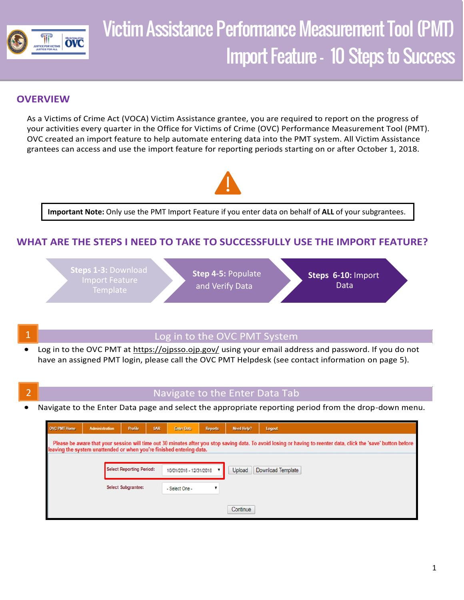

# Victim Assistance Performance Measurement Tool (PMT) Import Feature – 10 Steps to Success

## **OVERVIEW**

As a Victims of Crime Act (VOCA) Victim Assistance grantee, you are required to report on the progress of your activities every quarter in the Office for Victims of Crime (OVC) Performance Measurement Tool (PMT). OVC created an import feature to help automate entering data into the PMT system. All Victim Assistance grantees can access and use the import feature for reporting periods starting on or after October 1, 2018.



**Important Note:** Only use the PMT Import Feature if you enter data on behalf of **ALL** of your subgrantees.

## **WHAT ARE THE STEPS I NEED TO TAKE TO SUCCESSFULLY USE THE IMPORT FEATURE?**



### Log in to the OVC PMT System

- Log in to the OVC PMT at<https://ojpsso.ojp.gov/>using your email address and password. If you do not have an assigned PMT login, please call the OVC PMT Helpdesk (see contact information on page 5).
- 

# 2 Navigate to the Enter Data Tab

• Navigate to the Enter Data page and select the appropriate reporting period from the drop-down menu.

| <b>OVC PMT Home</b>                                                                                                                                                                                                                      | <b>Administration</b> | <b>Profile</b>                  | <b>SAR</b> | <b>Enter Data</b>       | <b>Reports</b> | <b>Need Help?</b> | Logout            |  |  |  |
|------------------------------------------------------------------------------------------------------------------------------------------------------------------------------------------------------------------------------------------|-----------------------|---------------------------------|------------|-------------------------|----------------|-------------------|-------------------|--|--|--|
| Please be aware that your session will time out 30 minutes after you stop saving data. To avoid losing or having to reenter data, click the 'save' button before<br>leaving the system unattended or when you're finished entering data. |                       |                                 |            |                         |                |                   |                   |  |  |  |
|                                                                                                                                                                                                                                          |                       | <b>Select Reporting Period:</b> |            | 10/01/2018 - 12/31/2018 |                | Upload            | Download Template |  |  |  |
|                                                                                                                                                                                                                                          |                       | Select Subgrantee:              |            | - Select One -          |                |                   |                   |  |  |  |
|                                                                                                                                                                                                                                          |                       |                                 |            |                         |                | Continue          |                   |  |  |  |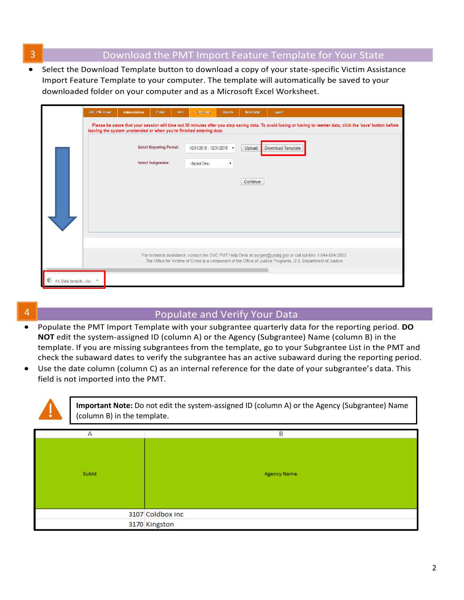## **3** Download the PMT Import Feature Template for Your State

 • Select the Download Template button to download a copy of your state-specific Victim Assistance Import Feature Template to your computer. The template will automatically be saved to your downloaded folder on your computer and as a Microsoft Excel Worksheet.

|                      | <b>OVC PMT Home</b>       | <b>Administration</b>                                                | <b>Profile</b> | SAR                                                    | <b>Enter Data</b> | <b>Reports</b> | <b>Need Help?</b> | Logout                                                                                                                                                                                                                         |
|----------------------|---------------------------|----------------------------------------------------------------------|----------------|--------------------------------------------------------|-------------------|----------------|-------------------|--------------------------------------------------------------------------------------------------------------------------------------------------------------------------------------------------------------------------------|
|                      |                           | leaving the system unattended or when you're finished entering data. |                |                                                        |                   |                |                   | Please be aware that your session will time out 30 minutes after you stop saving data. To avoid losing or having to reenter data, click the 'save' button before                                                               |
|                      |                           | <b>Select Reporting Period:</b>                                      |                | Upload<br>10/01/2018 - 12/31/2018 $\blacktriangledown$ |                   |                | Download Template |                                                                                                                                                                                                                                |
|                      | <b>Select Subgrantee:</b> |                                                                      |                |                                                        | - Select One -    |                |                   |                                                                                                                                                                                                                                |
|                      |                           |                                                                      |                |                                                        |                   |                | Continue          |                                                                                                                                                                                                                                |
|                      |                           |                                                                      |                |                                                        |                   |                |                   |                                                                                                                                                                                                                                |
|                      |                           |                                                                      |                |                                                        |                   |                |                   |                                                                                                                                                                                                                                |
|                      |                           |                                                                      |                |                                                        |                   |                |                   |                                                                                                                                                                                                                                |
|                      |                           |                                                                      |                |                                                        |                   |                |                   |                                                                                                                                                                                                                                |
|                      |                           |                                                                      |                |                                                        |                   |                |                   | For technical assistance, contact the OVC PMT Help Desk at ovcpmt@usdoj.gov or call toll-free 1-844-884-2503.<br>The Office for Victims of Crime is a component of the Office of Justice Programs, U.S. Department of Justice. |
| AA_State_templatxlsx | $\wedge$                  |                                                                      |                |                                                        |                   |                |                   |                                                                                                                                                                                                                                |

## **4 Populate and Verify Your Data**

- **NOT** edit the system-assigned ID (column A) or the Agency (Subgrantee) Name (column B) in the template. If you are missing subgrantees from the template, go to your Subgrantee List in the PMT and check the subaward dates to verify the subgrantee has an active subaward during the reporting period. • Populate the PMT Import Template with your subgrantee quarterly data for the reporting period. **DO**
- • Use the date column (column C) as an internal reference for the date of your subgrantee's data. This field is not imported into the PMT.

| Important Note: Do not edit the system-assigned ID (column A) or the Agency (Subgrantee) Name<br>(column B) in the template. |                    |  |  |  |  |  |  |  |
|------------------------------------------------------------------------------------------------------------------------------|--------------------|--|--|--|--|--|--|--|
| А                                                                                                                            | B                  |  |  |  |  |  |  |  |
|                                                                                                                              |                    |  |  |  |  |  |  |  |
|                                                                                                                              |                    |  |  |  |  |  |  |  |
| Subld                                                                                                                        | <b>Agency Name</b> |  |  |  |  |  |  |  |
|                                                                                                                              |                    |  |  |  |  |  |  |  |
|                                                                                                                              |                    |  |  |  |  |  |  |  |
|                                                                                                                              |                    |  |  |  |  |  |  |  |
|                                                                                                                              | 3107 Coldbox inc   |  |  |  |  |  |  |  |
|                                                                                                                              | 3170 Kingston      |  |  |  |  |  |  |  |
|                                                                                                                              |                    |  |  |  |  |  |  |  |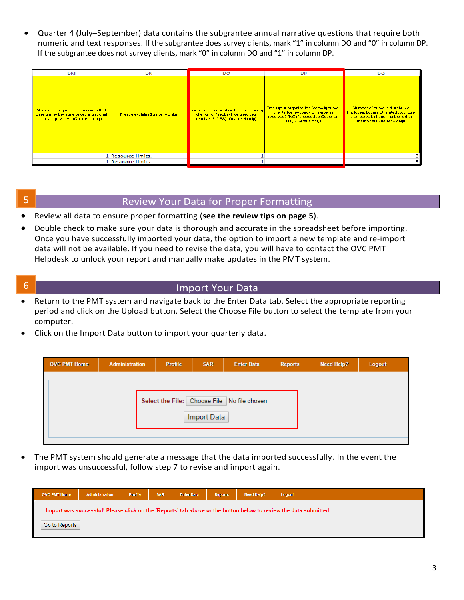• Quarter 4 (July–September) data contains the subgrantee annual narrative questions that require both numeric and text responses. If the subgrantee does survey clients, mark "1" in column DO and "0" in column DP. If the subgrantee does not survey clients, mark "0" in column DO and "1" in column DP.

| <b>DM</b>                                                                                                         | DN                              | DO                                                                                                              | <b>DP</b>                                                                                                                                  | DO                                                                                                                                           |
|-------------------------------------------------------------------------------------------------------------------|---------------------------------|-----------------------------------------------------------------------------------------------------------------|--------------------------------------------------------------------------------------------------------------------------------------------|----------------------------------------------------------------------------------------------------------------------------------------------|
| Number of requests for services that<br>were unmet because of organizational<br>capacity issues. (Quarter 4 only) | Please explain (Quarter 4 only) | Does your organization formally survey<br>clients for feedback on services.<br>received? (YES) (Quarter 4 only) | Does your organization formally survey<br>clients for feedback on services.<br>received? (NO) (proceed to Question<br>14) (Quarter 4 only) | Number of surveys distributed<br>fincludes, but is not limited to, those<br>distributed by hand, mail, or other<br>methods) (Quarter 4 only) |
|                                                                                                                   | 1 Resource limits.              |                                                                                                                 |                                                                                                                                            |                                                                                                                                              |
|                                                                                                                   | 1 Resource limits.              |                                                                                                                 |                                                                                                                                            |                                                                                                                                              |

# 5 Review Your Data for Proper Formatting

- Review all data to ensure proper formatting (**see the review tips on page 5**).
- Double check to make sure your data is thorough and accurate in the spreadsheet before importing. Once you have successfully imported your data, the option to import a new template and re-import data will not be available. If you need to revise the data, you will have to contact the OVC PMT Helpdesk to unlock your report and manually make updates in the PMT system.
- 

## **6** Import Your Data

- • Return to the PMT system and navigate back to the Enter Data tab. Select the appropriate reporting period and click on the Upload button. Select the Choose File button to select the template from your computer.
- Click on the Import Data button to import your quarterly data.

| <b>Administration</b> | <b>Profile</b> | <b>SAR</b> | <b>Enter Data</b> | <b>Reports</b>                                             | <b>Need Help?</b> | Logout |
|-----------------------|----------------|------------|-------------------|------------------------------------------------------------|-------------------|--------|
|                       |                |            |                   |                                                            |                   |        |
|                       |                |            |                   |                                                            |                   |        |
|                       |                |            |                   |                                                            |                   |        |
|                       |                |            |                   |                                                            |                   |        |
|                       |                |            |                   |                                                            |                   |        |
|                       |                |            |                   |                                                            |                   |        |
|                       |                |            |                   |                                                            |                   |        |
|                       |                |            |                   | Select the File: Choose File No file chosen<br>Import Data |                   |        |

 • The PMT system should generate a message that the data imported successfully. In the event the import was unsuccessful, follow step 7 to revise and import again.

| <b>OVC PMT Home</b>                                                                                              | Profile<br>Administration |  | <b>SAR</b><br><b>Enter Data</b> |  | <b>Reports</b> | <b>Need Help?</b> | Logout |  |  |  |
|------------------------------------------------------------------------------------------------------------------|---------------------------|--|---------------------------------|--|----------------|-------------------|--------|--|--|--|
| Import was successful! Please click on the 'Reports' tab above or the button below to review the data submitted. |                           |  |                                 |  |                |                   |        |  |  |  |
| Go to Reports                                                                                                    |                           |  |                                 |  |                |                   |        |  |  |  |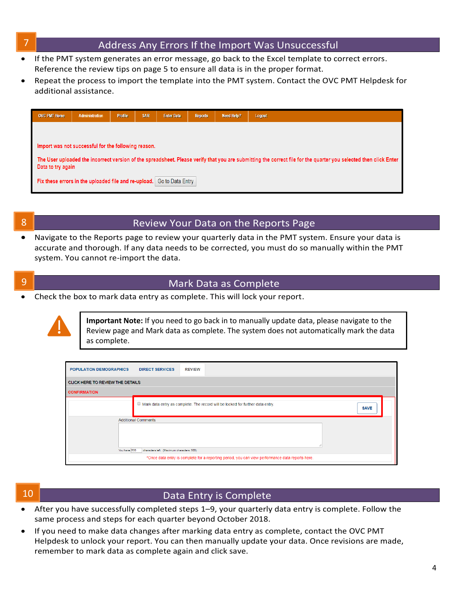### Address Any Errors If the Import Was Unsuccessful

- • If the PMT system generates an error message, go back to the Excel template to correct errors. Reference the review tips on page 5 to ensure all data is in the proper format.
- • Repeat the process to import the template into the PMT system. Contact the OVC PMT Helpdesk for additional assistance.



### 8 **8 Review Your Data on the Reports Page**

 • Navigate to the Reports page to review your quarterly data in the PMT system. Ensure your data is accurate and thorough. If any data needs to be corrected, you must do so manually within the PMT system. You cannot re-import the data.

### 9 Mark Data as Complete

• Check the box to mark data entry as complete. This will lock your report.



**Important Note:** If you need to go back in to manually update data, please navigate to the Review page and Mark data as complete. The system does not automatically mark the data as complete.

| <b>POPULATION DEMOGRAPHICS</b><br><b>DIRECT SERVICES</b><br><b>REVIEW</b>                        |                                                                                                      |  |  |  |  |  |  |  |  |  |
|--------------------------------------------------------------------------------------------------|------------------------------------------------------------------------------------------------------|--|--|--|--|--|--|--|--|--|
| CLICK HERE TO REVIEW THE DETAILS                                                                 |                                                                                                      |  |  |  |  |  |  |  |  |  |
| <b>CONFIRMATION</b>                                                                              |                                                                                                      |  |  |  |  |  |  |  |  |  |
|                                                                                                  | $\Box$ Mark data entry as complete. The record will be locked for further data entry.<br><b>SAVE</b> |  |  |  |  |  |  |  |  |  |
| <b>Additional Comments</b><br>You have 500<br>characters left. (Maximum characters: 500)         |                                                                                                      |  |  |  |  |  |  |  |  |  |
| *Once data entry is complete for a reporting period, you can view performance data reports here. |                                                                                                      |  |  |  |  |  |  |  |  |  |

## **10** Data Entry is Complete

- • After you have successfully completed steps 1–9, your quarterly data entry is complete. Follow the same process and steps for each quarter beyond October 2018.
- • If you need to make data changes after marking data entry as complete, contact the OVC PMT Helpdesk to unlock your report. You can then manually update your data. Once revisions are made, remember to mark data as complete again and click save.